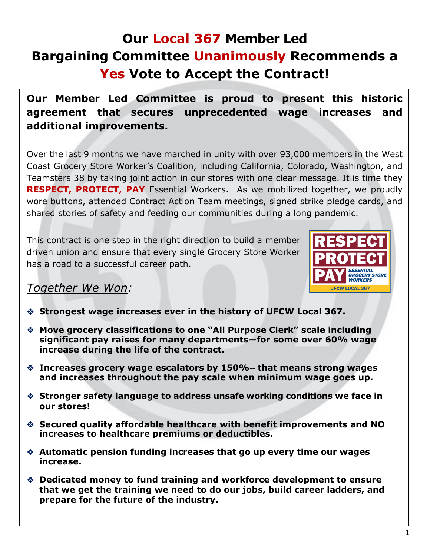# **Our Local 367 Member Led Bargaining Committee Unanimously Recommends a Yes Vote to Accept the Contract!**

**Our Member Led Committee is proud to present this historic agreement that secures unprecedented wage increases and additional improvements.** 

Over the last 9 months we have marched in unity with over 93,000 members in the West Coast Grocery Store Worker's Coalition, including California, Colorado, Washington, and Teamsters 38 by taking joint action in our stores with one clear message. It is time they **RESPECT, PROTECT, PAY** Essential Workers. As we mobilized together, we proudly wore buttons, attended Contract Action Team meetings, signed strike pledge cards, and shared stories of safety and feeding our communities during a long pandemic.

This contract is one step in the right direction to build a member driven union and ensure that every single Grocery Store Worker has a road to a successful career path.



### *Together We Won:*

 $\overline{a}$ 

- **Strongest wage increases ever in the history of UFCW Local 367.**
- **Move grocery classifications to one "All Purpose Clerk" scale including significant pay raises for many departments—for some over 60% wage increase during the life of the contract.**
- **Increases grocery wage escalators by 150%**-- **that means strong wages and increases throughout the pay scale when minimum wage goes up.**
- **Stronger safety language to address unsafe working conditions we face in our stores!**
- **Secured quality affordable healthcare with benefit improvements and NO increases to healthcare premiums or deductibles.**
- **Automatic pension funding increases that go up every time our wages increase.**
- **Dedicated money to fund training and workforce development to ensure that we get the training we need to do our jobs, build career ladders, and prepare for the future of the industry.**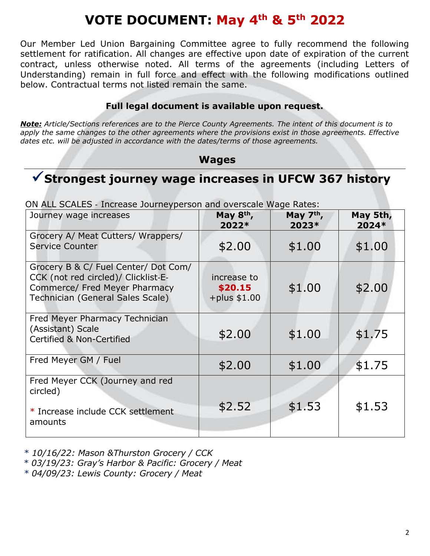# **VOTE DOCUMENT: May 4th & 5th 2022**

Our Member Led Union Bargaining Committee agree to fully recommend the following settlement for ratification. All changes are effective upon date of expiration of the current contract, unless otherwise noted. All terms of the agreements (including Letters of Understanding) remain in full force and effect with the following modifications outlined below. Contractual terms not listed remain the same.

#### **Full legal document is available upon request.**

*Note: Article/Sections references are to the Pierce County Agreements. The intent of this document is to*  apply the same changes to the other agreements where the provisions exist in those agreements. Effective *dates etc. will be adjusted in accordance with the dates/terms of those agreements.* 

#### **Wages**

# **Strongest journey wage increases in UFCW 367 history**

| The border increase southerperson and oversearchiago nation<br>Journey wage increases                                                            | May 8 <sup>th</sup> ,<br>2022*             | May $7th$ ,<br>2023* | May 5th,<br>2024* |
|--------------------------------------------------------------------------------------------------------------------------------------------------|--------------------------------------------|----------------------|-------------------|
| Grocery A/ Meat Cutters/ Wrappers/<br>Service Counter                                                                                            | \$2.00                                     | \$1.00               | \$1.00            |
| Grocery B & C/ Fuel Center/ Dot Com/<br>CCK (not red circled)/ Clicklist-E-<br>Commerce/ Fred Meyer Pharmacy<br>Technician (General Sales Scale) | increase to<br>\$20.15<br>$+$ plus $$1.00$ | \$1.00               | \$2.00            |
| Fred Meyer Pharmacy Technician<br>(Assistant) Scale<br><b>Certified &amp; Non-Certified</b>                                                      | \$2.00                                     | \$1.00               | \$1.75            |
| Fred Meyer GM / Fuel                                                                                                                             | \$2.00                                     | \$1.00               | \$1.75            |
| Fred Meyer CCK (Journey and red<br>circled)<br>* Increase include CCK settlement<br>amounts                                                      | \$2.52                                     | \$1.53               | \$1.53            |

ON ALL SCALES - Increase Journeyperson and overscale Wage Rates:

*\* 10/16/22: Mason &Thurston Grocery / CCK* 

*\* 03/19/23: Gray's Harbor & Pacific: Grocery / Meat* 

*\* 04/09/23: Lewis County: Grocery / Meat*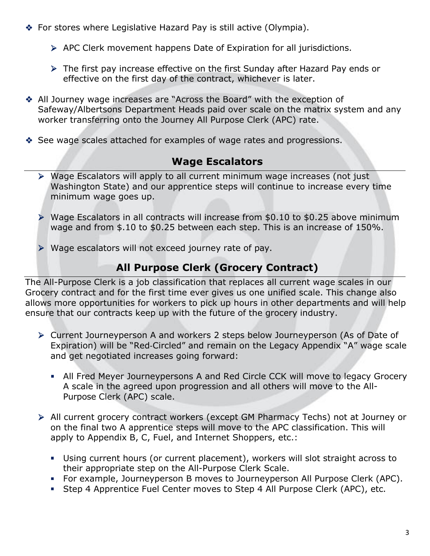- ◆ For stores where Legislative Hazard Pay is still active (Olympia).
	- APC Clerk movement happens Date of Expiration for all jurisdictions.
	- The first pay increase effective on the first Sunday after Hazard Pay ends or effective on the first day of the contract, whichever is later.
- All Journey wage increases are "Across the Board" with the exception of Safeway/Albertsons Department Heads paid over scale on the matrix system and any worker transferring onto the Journey All Purpose Clerk (APC) rate.
- See wage scales attached for examples of wage rates and progressions.

## **Wage Escalators**

- Wage Escalators will apply to all current minimum wage increases (not just Washington State) and our apprentice steps will continue to increase every time minimum wage goes up.
- Wage Escalators in all contracts will increase from \$0.10 to \$0.25 above minimum wage and from \$.10 to \$0.25 between each step. This is an increase of 150%.
- Wage escalators will not exceed journey rate of pay.

## **All Purpose Clerk (Grocery Contract)**

The All-Purpose Clerk is a job classification that replaces all current wage scales in our Grocery contract and for the first time ever gives us one unified scale. This change also allows more opportunities for workers to pick up hours in other departments and will help ensure that our contracts keep up with the future of the grocery industry.

- Current Journeyperson A and workers 2 steps below Journeyperson (As of Date of Expiration) will be "Red-Circled" and remain on the Legacy Appendix "A" wage scale and get negotiated increases going forward:
	- All Fred Meyer Journeypersons A and Red Circle CCK will move to legacy Grocery A scale in the agreed upon progression and all others will move to the All-Purpose Clerk (APC) scale.
- All current grocery contract workers (except GM Pharmacy Techs) not at Journey or on the final two A apprentice steps will move to the APC classification. This will apply to Appendix B, C, Fuel, and Internet Shoppers, etc.:
	- Using current hours (or current placement), workers will slot straight across to their appropriate step on the All-Purpose Clerk Scale.
	- For example, Journeyperson B moves to Journeyperson All Purpose Clerk (APC).
	- Step 4 Apprentice Fuel Center moves to Step 4 All Purpose Clerk (APC), etc.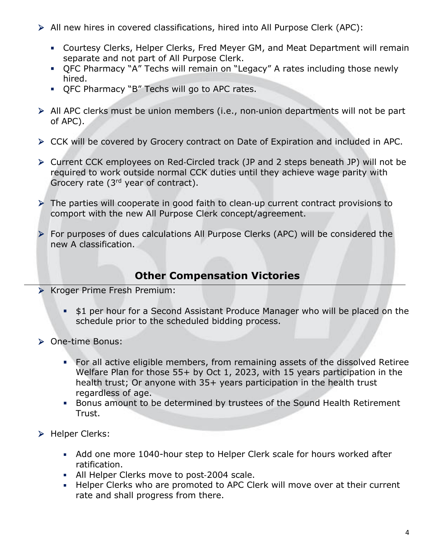- All new hires in covered classifications, hired into All Purpose Clerk (APC):
	- Courtesy Clerks, Helper Clerks, Fred Meyer GM, and Meat Department will remain separate and not part of All Purpose Clerk.
	- QFC Pharmacy "A" Techs will remain on "Legacy" A rates including those newly hired.
	- QFC Pharmacy "B" Techs will go to APC rates.
- All APC clerks must be union members (i.e., non-union departments will not be part of APC).
- CCK will be covered by Grocery contract on Date of Expiration and included in APC.
- Current CCK employees on Red-Circled track (JP and 2 steps beneath JP) will not be required to work outside normal CCK duties until they achieve wage parity with Grocery rate (3rd year of contract).
- The parties will cooperate in good faith to clean-up current contract provisions to comport with the new All Purpose Clerk concept/agreement.
- For purposes of dues calculations All Purpose Clerks (APC) will be considered the new A classification.

### **Other Compensation Victories**

- **EX Kroger Prime Fresh Premium:** 
	- **\$1 per hour for a Second Assistant Produce Manager who will be placed on the** schedule prior to the scheduled bidding process.
- ▶ One-time Bonus:
	- For all active eligible members, from remaining assets of the dissolved Retiree Welfare Plan for those 55+ by Oct 1, 2023, with 15 years participation in the health trust; Or anyone with 35+ years participation in the health trust regardless of age.
	- Bonus amount to be determined by trustees of the Sound Health Retirement Trust.
- > Helper Clerks:
	- Add one more 1040-hour step to Helper Clerk scale for hours worked after ratification.
	- All Helper Clerks move to post-2004 scale.
	- Helper Clerks who are promoted to APC Clerk will move over at their current rate and shall progress from there.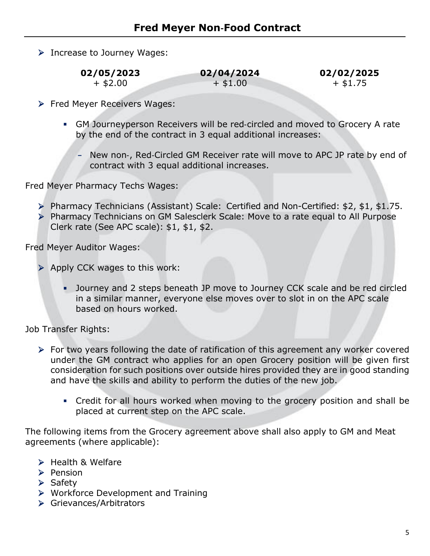Increase to Journey Wages:

 $+ $2.00 + $1.00 + $1.75$ 

- **Fred Meyer Receivers Wages:** 
	- GM Journeyperson Receivers will be red-circled and moved to Grocery A rate by the end of the contract in 3 equal additional increases:
		- **-** New non-, Red-Circled GM Receiver rate will move to APC JP rate by end of contract with 3 equal additional increases.

Fred Meyer Pharmacy Techs Wages:

- Pharmacy Technicians (Assistant) Scale: Certified and Non-Certified: \$2, \$1, \$1.75.
- Pharmacy Technicians on GM Salesclerk Scale: Move to a rate equal to All Purpose Clerk rate (See APC scale): \$1, \$1, \$2.

Fred Meyer Auditor Wages:

- $\triangleright$  Apply CCK wages to this work:
	- Journey and 2 steps beneath JP move to Journey CCK scale and be red circled in a similar manner, everyone else moves over to slot in on the APC scale based on hours worked.

Job Transfer Rights:

- For two years following the date of ratification of this agreement any worker covered under the GM contract who applies for an open Grocery position will be given first consideration for such positions over outside hires provided they are in good standing and have the skills and ability to perform the duties of the new job.
	- Credit for all hours worked when moving to the grocery position and shall be placed at current step on the APC scale.

The following items from the Grocery agreement above shall also apply to GM and Meat agreements (where applicable):

- $\triangleright$  Health & Welfare
- $\triangleright$  Pension
- $\triangleright$  Safety
- ▶ Workforce Development and Training
- ▶ Grievances/Arbitrators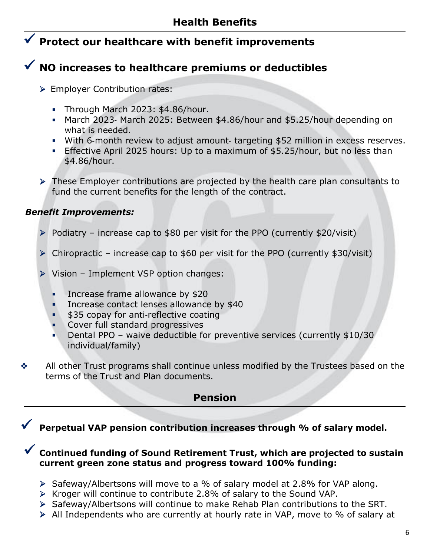## **Protect our healthcare with benefit improvements**

# **NO increases to healthcare premiums or deductibles**

- **Employer Contribution rates:** 
	- Through March 2023: \$4.86/hour.
	- March 2023- March 2025: Between \$4.86/hour and \$5.25/hour depending on what is needed.
	- With 6-month review to adjust amount- targeting \$52 million in excess reserves.
	- **Effective April 2025 hours: Up to a maximum of \$5.25/hour, but no less than** \$4.86/hour.
- These Employer contributions are projected by the health care plan consultants to fund the current benefits for the length of the contract.

#### *Benefit Improvements:*

- $\triangleright$  Podiatry increase cap to \$80 per visit for the PPO (currently \$20/visit)
- Chiropractic increase cap to \$60 per visit for the PPO (currently \$30/visit)
- Vision Implement VSP option changes:
	- **Increase frame allowance by \$20**
	- Increase contact lenses allowance by \$40
	- **\$35 copay for anti-reflective coating**
	- Cover full standard progressives
	- Dental PPO waive deductible for preventive services (currently \$10/30 individual/family)
- All other Trust programs shall continue unless modified by the Trustees based on the terms of the Trust and Plan documents.

#### **Pension**

# **Perpetual VAP pension contribution increases through % of salary model.**

#### **Continued funding of Sound Retirement Trust, which are projected to sustain current green zone status and progress toward 100% funding:**

- $\triangleright$  Safeway/Albertsons will move to a % of salary model at 2.8% for VAP along.
- $\triangleright$  Kroger will continue to contribute 2.8% of salary to the Sound VAP.
- Safeway/Albertsons will continue to make Rehab Plan contributions to the SRT.
- All Independents who are currently at hourly rate in VAP, move to % of salary at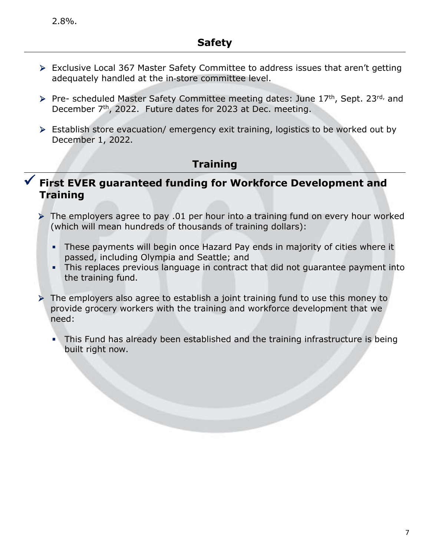- Exclusive Local 367 Master Safety Committee to address issues that aren't getting adequately handled at the in-store committee level.
- Pre- scheduled Master Safety Committee meeting dates: June 17<sup>th</sup>, Sept. 23<sup>rd,</sup> and December 7<sup>th</sup>, 2022. Future dates for 2023 at Dec. meeting.
- Establish store evacuation/ emergency exit training, logistics to be worked out by December 1, 2022.

### **Training**

### **First EVER guaranteed funding for Workforce Development and Training**

- $\triangleright$  The employers agree to pay .01 per hour into a training fund on every hour worked (which will mean hundreds of thousands of training dollars):
	- These payments will begin once Hazard Pay ends in majority of cities where it passed, including Olympia and Seattle; and
	- This replaces previous language in contract that did not guarantee payment into the training fund.
- The employers also agree to establish a joint training fund to use this money to provide grocery workers with the training and workforce development that we need:
	- This Fund has already been established and the training infrastructure is being built right now.